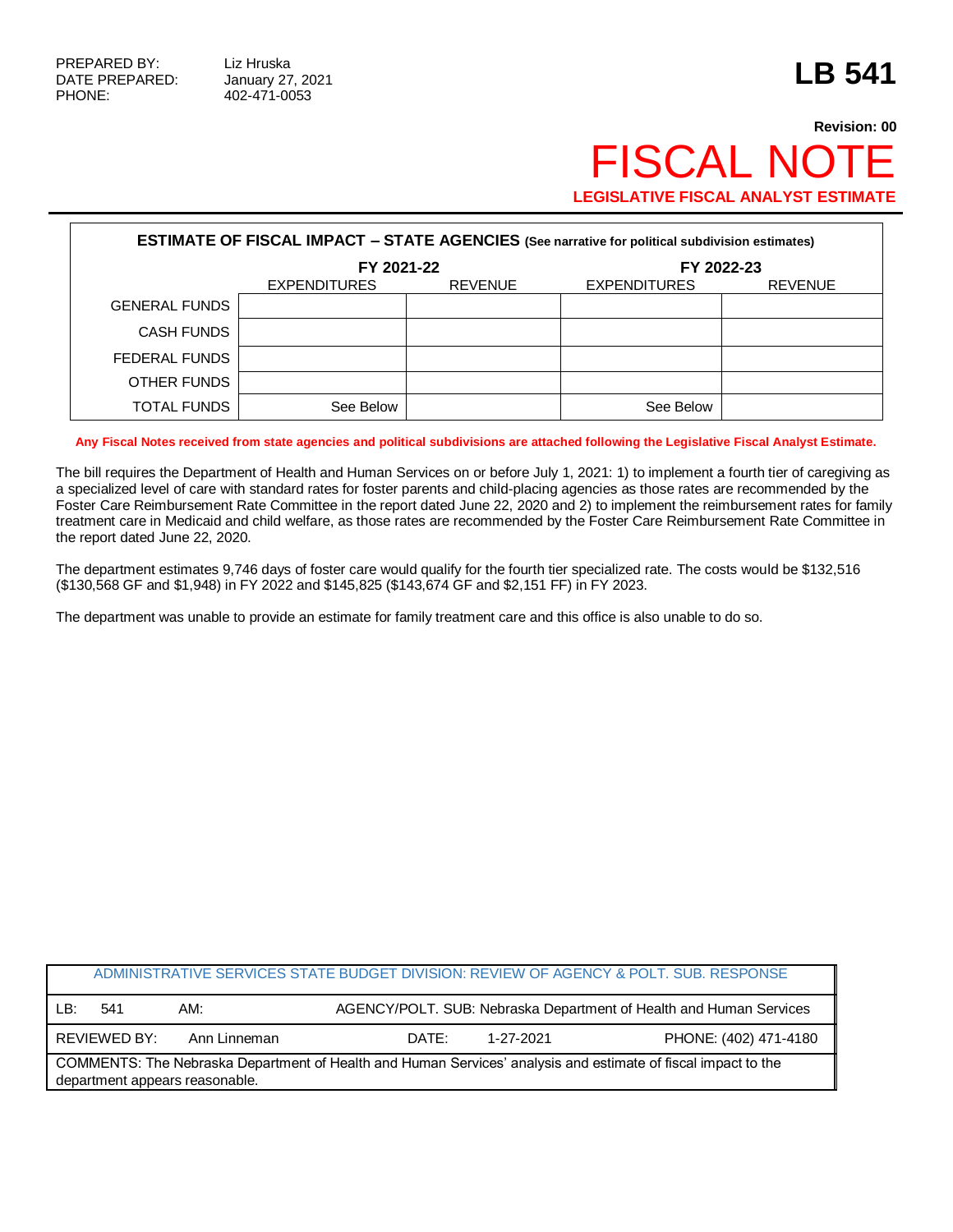## **Revision: 00 FISCAL NOT LEGISLATIVE FISCAL ANALYST ESTIMATE**

| <b>ESTIMATE OF FISCAL IMPACT - STATE AGENCIES (See narrative for political subdivision estimates)</b> |                     |                |                     |                |  |  |
|-------------------------------------------------------------------------------------------------------|---------------------|----------------|---------------------|----------------|--|--|
|                                                                                                       | FY 2021-22          |                | FY 2022-23          |                |  |  |
|                                                                                                       | <b>EXPENDITURES</b> | <b>REVENUE</b> | <b>EXPENDITURES</b> | <b>REVENUE</b> |  |  |
| <b>GENERAL FUNDS</b>                                                                                  |                     |                |                     |                |  |  |
| <b>CASH FUNDS</b>                                                                                     |                     |                |                     |                |  |  |
| FEDERAL FUNDS                                                                                         |                     |                |                     |                |  |  |
| OTHER FUNDS                                                                                           |                     |                |                     |                |  |  |
| <b>TOTAL FUNDS</b>                                                                                    | See Below           |                | See Below           |                |  |  |

**Any Fiscal Notes received from state agencies and political subdivisions are attached following the Legislative Fiscal Analyst Estimate.**

The bill requires the Department of Health and Human Services on or before July 1, 2021: 1) to implement a fourth tier of caregiving as a specialized level of care with standard rates for foster parents and child-placing agencies as those rates are recommended by the Foster Care Reimbursement Rate Committee in the report dated June 22, 2020 and 2) to implement the reimbursement rates for family treatment care in Medicaid and child welfare, as those rates are recommended by the Foster Care Reimbursement Rate Committee in the report dated June 22, 2020.

The department estimates 9,746 days of foster care would qualify for the fourth tier specialized rate. The costs would be \$132,516 (\$130,568 GF and \$1,948) in FY 2022 and \$145,825 (\$143,674 GF and \$2,151 FF) in FY 2023.

The department was unable to provide an estimate for family treatment care and this office is also unable to do so.

| ADMINISTRATIVE SERVICES STATE BUDGET DIVISION: REVIEW OF AGENCY & POLT. SUB. RESPONSE                                                           |              |              |       |           |                                                                    |
|-------------------------------------------------------------------------------------------------------------------------------------------------|--------------|--------------|-------|-----------|--------------------------------------------------------------------|
| LB:                                                                                                                                             | 541          | AM:          |       |           | AGENCY/POLT. SUB: Nebraska Department of Health and Human Services |
|                                                                                                                                                 | REVIEWED BY: | Ann Linneman | DATE: | 1-27-2021 | PHONE: (402) 471-4180                                              |
| COMMENTS: The Nebraska Department of Health and Human Services' analysis and estimate of fiscal impact to the<br>department appears reasonable. |              |              |       |           |                                                                    |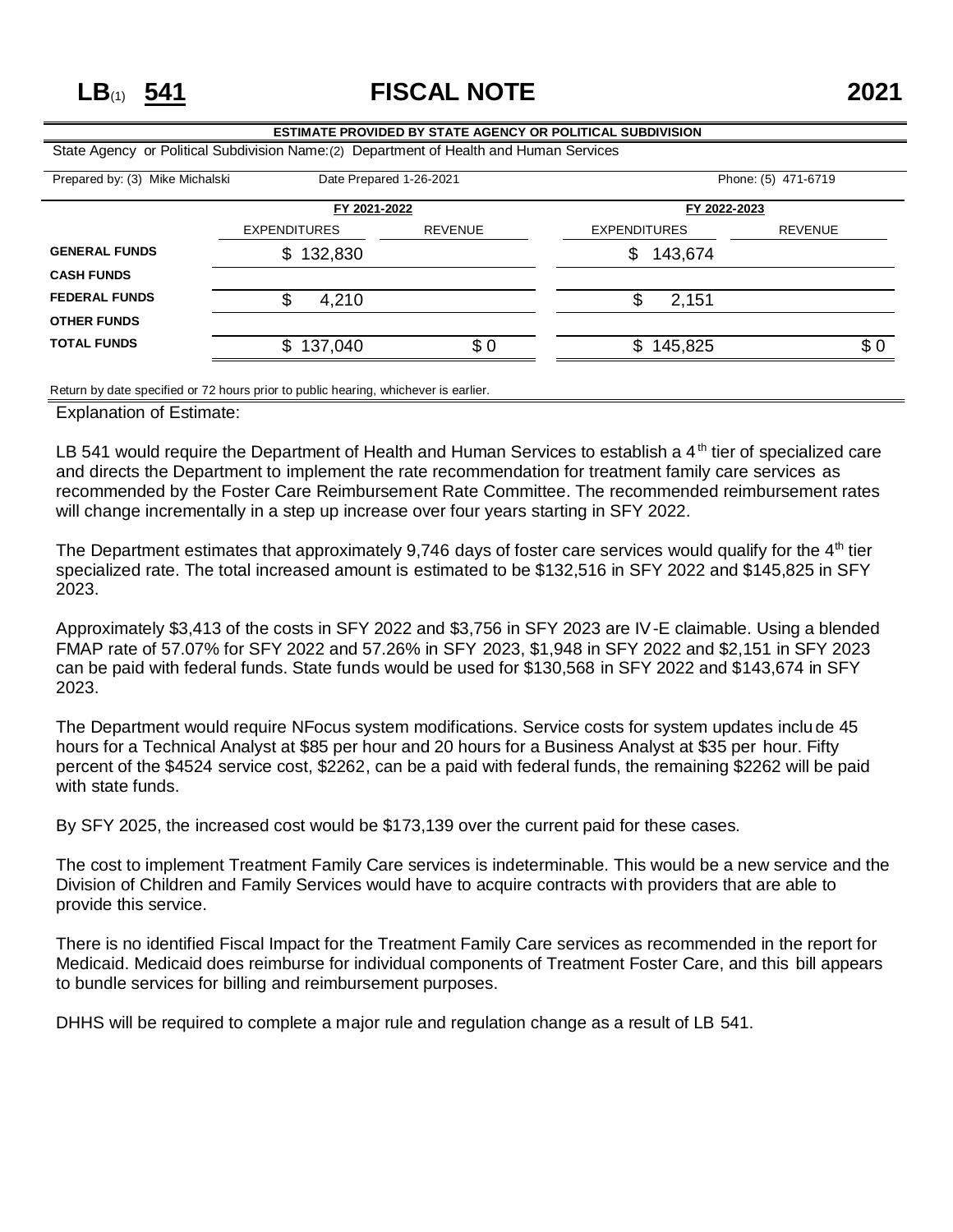**LB**(1) **541 FISCAL NOTE 2021**

|                                                                                         |                         | <b>ESTIMATE PROVIDED BY STATE AGENCY OR POLITICAL SUBDIVISION</b> |                     |                |  |  |
|-----------------------------------------------------------------------------------------|-------------------------|-------------------------------------------------------------------|---------------------|----------------|--|--|
| State Agency or Political Subdivision Name: (2) Department of Health and Human Services |                         |                                                                   |                     |                |  |  |
| Prepared by: (3) Mike Michalski                                                         | Date Prepared 1-26-2021 |                                                                   | Phone: (5) 471-6719 |                |  |  |
|                                                                                         |                         | FY 2021-2022                                                      |                     | FY 2022-2023   |  |  |
|                                                                                         | <b>EXPENDITURES</b>     | <b>REVENUE</b>                                                    | <b>EXPENDITURES</b> | <b>REVENUE</b> |  |  |
| <b>GENERAL FUNDS</b>                                                                    | \$132,830               |                                                                   | 143,674<br>\$       |                |  |  |
| <b>CASH FUNDS</b>                                                                       |                         |                                                                   |                     |                |  |  |
| <b>FEDERAL FUNDS</b>                                                                    | \$<br>4,210             |                                                                   | 2,151               |                |  |  |
| <b>OTHER FUNDS</b>                                                                      |                         |                                                                   |                     |                |  |  |
| <b>TOTAL FUNDS</b>                                                                      | \$<br>137,040           | \$0                                                               | \$.<br>145,825      | \$0            |  |  |
|                                                                                         |                         |                                                                   |                     |                |  |  |

Return by date specified or 72 hours prior to public hearing, whichever is earlier.

Explanation of Estimate:

LB 541 would require the Department of Health and Human Services to establish a  $4<sup>th</sup>$  tier of specialized care and directs the Department to implement the rate recommendation for treatment family care services as recommended by the Foster Care Reimbursement Rate Committee. The recommended reimbursement rates will change incrementally in a step up increase over four years starting in SFY 2022.

The Department estimates that approximately 9,746 days of foster care services would qualify for the  $4<sup>th</sup>$  tier specialized rate. The total increased amount is estimated to be \$132,516 in SFY 2022 and \$145,825 in SFY 2023.

Approximately \$3,413 of the costs in SFY 2022 and \$3,756 in SFY 2023 are IV-E claimable. Using a blended FMAP rate of 57.07% for SFY 2022 and 57.26% in SFY 2023, \$1,948 in SFY 2022 and \$2,151 in SFY 2023 can be paid with federal funds. State funds would be used for \$130,568 in SFY 2022 and \$143,674 in SFY 2023.

The Department would require NFocus system modifications. Service costs for system updates inclu de 45 hours for a Technical Analyst at \$85 per hour and 20 hours for a Business Analyst at \$35 per hour. Fifty percent of the \$4524 service cost, \$2262, can be a paid with federal funds, the remaining \$2262 will be paid with state funds.

By SFY 2025, the increased cost would be \$173,139 over the current paid for these cases.

The cost to implement Treatment Family Care services is indeterminable. This would be a new service and the Division of Children and Family Services would have to acquire contracts with providers that are able to provide this service.

There is no identified Fiscal Impact for the Treatment Family Care services as recommended in the report for Medicaid. Medicaid does reimburse for individual components of Treatment Foster Care, and this bill appears to bundle services for billing and reimbursement purposes.

DHHS will be required to complete a major rule and regulation change as a result of LB 541.